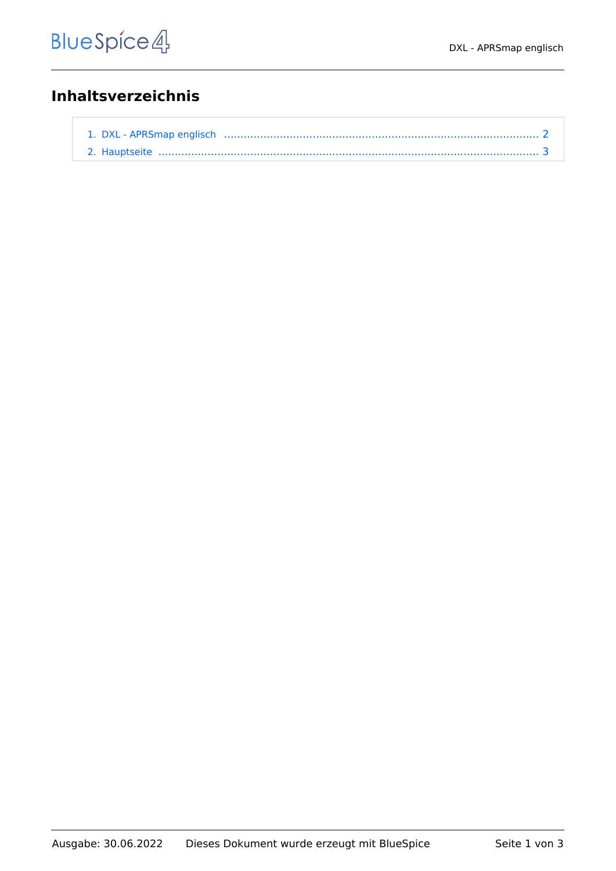## **Inhaltsverzeichnis**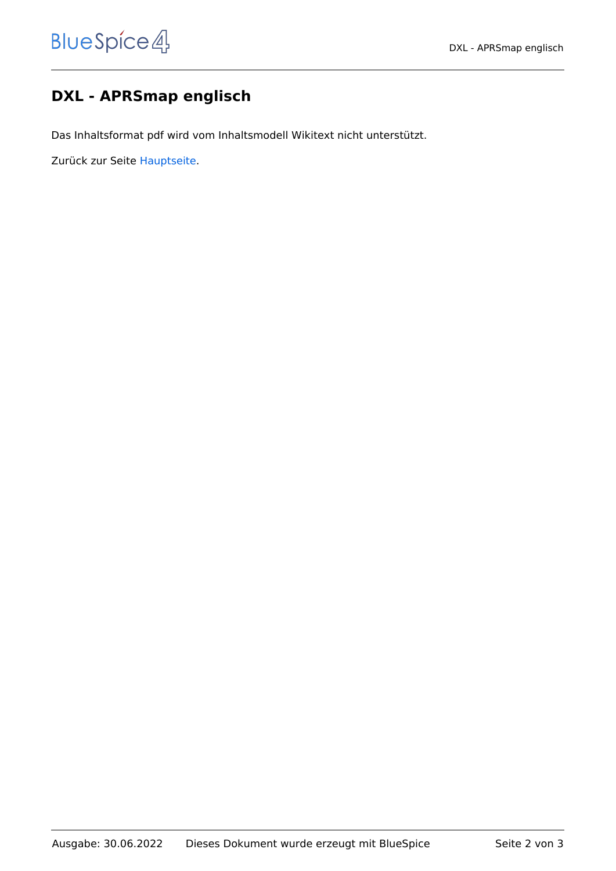## <span id="page-1-0"></span>**DXL - APRSmap englisch**

Das Inhaltsformat pdf wird vom Inhaltsmodell Wikitext nicht unterstützt.

Zurück zur Seite [Hauptseite.](#page-2-0)